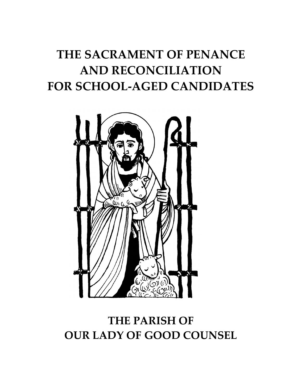# **THE SACRAMENT OF PENANCE AND RECONCILIATION FOR SCHOOL-AGED CANDIDATES**



# **THE PARISH OF OUR LADY OF GOOD COUNSEL**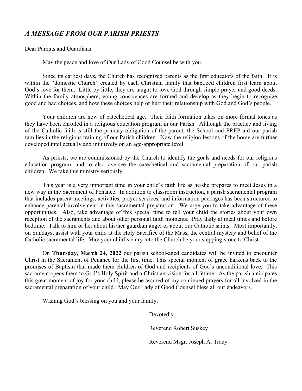### *A MESSAGE FROM OUR PARISH PRIESTS*

Dear Parents and Guardians:

May the peace and love of Our Lady of Good Counsel be with you.

Since its earliest days, the Church has recognized parents as the first educators of the faith. It is within the "domestic Church" created by each Christian family that baptized children first learn about God's love for them. Little by little, they are taught to love God through simple prayer and good deeds. Within the family atmosphere, young consciences are formed and develop as they begin to recognize good and bad choices, and how these choices help or hurt their relationship with God and God's people.

Your children are now of catechetical age. Their faith formation takes on more formal tones as they have been enrolled in a religious education program in our Parish. Although the practice and living of the Catholic faith is still the primary obligation of the parent, the School and PREP aid our parish families in the religious training of our Parish children. Now the religion lessons of the home are further developed intellectually and intuitively on an age-appropriate level.

As priests, we are commissioned by the Church to identify the goals and needs for our religious education program, and to also oversee the catechetical and sacramental preparation of our parish children. We take this ministry seriously.

This year is a very important time in your child's faith life as he/she prepares to meet Jesus in a new way in the Sacrament of Penance. In addition to classroom instruction, a parish sacramental program that includes parent meetings, activities, prayer services, and information packages has been structured to enhance parental involvement in this sacramental preparation. We urge you to take advantage of these opportunities. Also, take advantage of this special time to tell your child the stories about your own reception of the sacraments and about other personal faith moments. Pray daily at meal times and before bedtime. Talk to him or her about his/her guardian angel or about our Catholic saints. Most importantly, on Sundays, assist with your child at the Holy Sacrifice of the Mass, the central mystery and belief of the Catholic sacramental life. May your child's entry into the Church be your stepping-stone to Christ.

On **Thursday, March 24, 2022** our parish school-aged candidates will be invited to encounter Christ in the Sacrament of Penance for the first time. This special moment of grace harkens back to the promises of Baptism that made them children of God and recipients of God's unconditional love. This sacrament opens them to God's Holy Spirit and a Christian vision for a lifetime. As the parish anticipates this great moment of joy for your child, please be assured of my continued prayers for all involved in the sacramental preparation of your child. May Our Lady of Good Counsel bless all our endeavors.

Wishing God's blessing on you and your family.

Devotedly,

Reverend Robert Suskey

Reverend Msgr. Joseph A. Tracy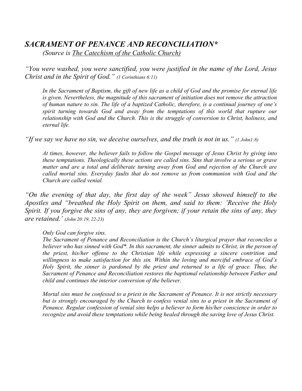# *SACRAMENT OF PENANCE AND RECONCILIATION\**

*(Source is The Catechism of the Catholic Church)*

*"You were washed, you were sanctified, you were justified in the name of the Lord, Jesus Christ and in the Spirit of God." (1 Corinthians 6:11)*

*In the Sacrament of Baptism, the gift of new life as a child of God and the promise for eternal life is given. Nevertheless, the magnitude of this sacrament of initiation does not remove the attraction of human nature to sin. The life of a baptized Catholic, therefore, is a continual journey of one's spirit turning towards God and away from the temptations of this world that rupture our relationship with God and the Church. This is the struggle of conversion to Christ, holiness, and eternal life.*

*"If we say we have no sin, we deceive ourselves, and the truth is not in us." (1 John1:8)*

*At times, however, the believer fails to follow the Gospel message of Jesus Christ by giving into these temptations. Theologically these actions are called sins. Sins that involve a serious or grave matter and are a total and deliberate turning away from God and rejection of the Church are called mortal sins. Everyday faults that do not remove us from communion with God and the Church are called venial.* 

*"On the evening of that day, the first day of the week" Jesus showed himself to the Apostles and "breathed the Holy Spirit on them, and said to them: 'Receive the Holy Spirit. If you forgive the sins of any, they are forgiven; if your retain the sins of any, they are retained.' (John 20:19, 22-23)*

*Only God can forgive sins.*

*The Sacrament of Penance and Reconciliation is the Church's liturgical prayer that reconciles a believer who has sinned with God\*. In this sacrament, the sinner admits to Christ, in the person of the priest, his/her offense to the Christian life while expressing a sincere contrition and willingness to make satisfaction for this sin. Within the loving and merciful embrace of God's Holy Spirit, the sinner is pardoned by the priest and returned to a life of grace. Thus, the Sacrament of Penance and Reconciliation restores the baptismal relationship between Father and child and continues the interior conversion of the believer.* 

*Mortal sins must be confessed to a priest in the Sacrament of Penance. It is not strictly necessary but is strongly encouraged by the Church to confess venial sins to a priest in the Sacrament of Penance. Regular confession of venial sins helps a believer to form his/her conscience in order to recognize and avoid these temptations while being healed through the saving love of Jesus Christ.*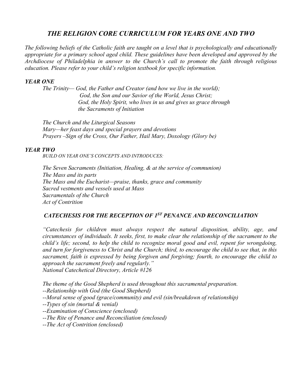### *THE RELIGION CORE CURRICULUM FOR YEARS ONE AND TWO*

*The following beliefs of the Catholic faith are taught on a level that is psychologically and educationally appropriate for a primary school aged child. These guidelines have been developed and approved by the Archdiocese of Philadelphia in answer to the Church's call to promote the faith through religious education. Please refer to your child's religion textbook for specific information.*

#### *YEAR ONE*

*The Trinity— God, the Father and Creator (and how we live in the world); God, the Son and our Savior of the World, Jesus Christ; God, the Holy Spirit, who lives in us and gives us grace through the Sacraments of Initiation*

*The Church and the Liturgical Seasons Mary—her feast days and special prayers and devotions Prayers –Sign of the Cross, Our Father, Hail Mary, Doxology (Glory be)*

#### *YEAR TWO*

*BUILD ON YEAR ONE'S CONCEPTS AND INTRODUCES:*

*The Seven Sacraments (Initiation, Healing, & at the service of communion) The Mass and its parts The Mass and the Eucharist—praise, thanks, grace and community Sacred vestments and vessels used at Mass Sacramentals of the Church Act of Contrition*

#### *CATECHESIS FOR THE RECEPTION OF 1ST PENANCE AND RECONCILIATION*

*"Catechesis for children must always respect the natural disposition, ability, age, and circumstances of individuals. It seeks, first, to make clear the relationship of the sacrament to the child's life; second, to help the child to recognize moral good and evil, repent for wrongdoing, and turn for forgiveness to Christ and the Church; third, to encourage the child to see that, in this sacrament, faith is expressed by being forgiven and forgiving; fourth, to encourage the child to approach the sacrament freely and regularly." National Catechetical Directory, Article #126*

*The theme of the Good Shepherd is used throughout this sacramental preparation.*

*--Relationship with God (the Good Shepherd)*

*--Moral sense of good (grace/community) and evil (sin/breakdown of relationship)* 

*--Types of sin (mortal & venial)*

*--Examination of Conscience (enclosed)*

*--The Rite of Penance and Reconciliation (enclosed)*

*--The Act of Contrition (enclosed)*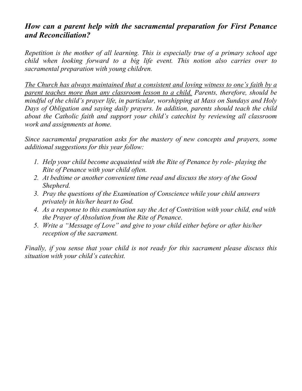### *How can a parent help with the sacramental preparation for First Penance and Reconciliation?*

*Repetition is the mother of all learning. This is especially true of a primary school age child when looking forward to a big life event. This notion also carries over to sacramental preparation with young children.* 

*The Church has always maintained that a consistent and loving witness to one's faith by a parent teaches more than any classroom lesson to a child. Parents, therefore, should be mindful of the child's prayer life, in particular, worshipping at Mass on Sundays and Holy Days of Obligation and saying daily prayers. In addition, parents should teach the child about the Catholic faith and support your child's catechist by reviewing all classroom work and assignments at home.* 

*Since sacramental preparation asks for the mastery of new concepts and prayers, some additional suggestions for this year follow:*

- *1. Help your child become acquainted with the Rite of Penance by role- playing the Rite of Penance with your child often.*
- *2. At bedtime or another convenient time read and discuss the story of the Good Shepherd.*
- *3. Pray the questions of the Examination of Conscience while your child answers privately in his/her heart to God.*
- *4. As a response to this examination say the Act of Contrition with your child, end with the Prayer of Absolution from the Rite of Penance.*
- *5. Write a "Message of Love" and give to your child either before or after his/her reception of the sacrament.*

*Finally, if you sense that your child is not ready for this sacrament please discuss this situation with your child's catechist.*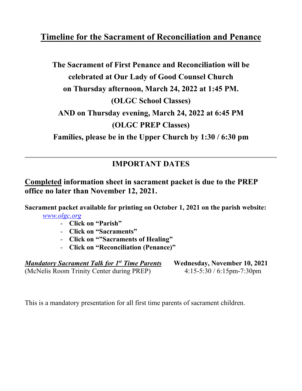# **Timeline for the Sacrament of Reconciliation and Penance**

# **The Sacrament of First Penance and Reconciliation will be celebrated at Our Lady of Good Counsel Church on Thursday afternoon, March 24, 2022 at 1:45 PM. (OLGC School Classes) AND on Thursday evening, March 24, 2022 at 6:45 PM (OLGC PREP Classes) Families, please be in the Upper Church by 1:30 / 6:30 pm**

## **IMPORTANT DATES**

## **Completed information sheet in sacrament packet is due to the PREP office no later than November 12, 2021.**

**Sacrament packet available for printing on October 1, 2021 on the parish website:** *[www.olgc.org](http://www.olgc.org/)*

- **Click on "Parish"**
- **Click on "Sacraments"**
- **Click on ""Sacraments of Healing"**
- **Click on "Reconciliation (Penance)"**

| <b>Mandatory Sacrament Talk for 1st Time Parents</b> | <b>Wednesday, November 10, 2021</b> |
|------------------------------------------------------|-------------------------------------|
| (McNelis Room Trinity Center during PREP)            | $4:15-5:30/6:15$ pm-7:30pm          |

This is a mandatory presentation for all first time parents of sacrament children.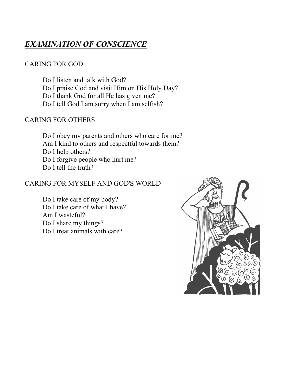# *EXAMINATION OF CONSCIENCE*

### CARING FOR GOD

Do I listen and talk with God?

- Do I praise God and visit Him on His Holy Day?
- Do I thank God for all He has given me?
- Do I tell God I am sorry when I am selfish?

### CARING FOR OTHERS

Do I obey my parents and others who care for me? Am I kind to others and respectful towards them? Do I help others? Do I forgive people who hurt me? Do I tell the truth?

### CARING FOR MYSELF AND GOD'S WORLD

Do I take care of my body? Do I take care of what I have? Am I wasteful? Do I share my things? Do I treat animals with care?

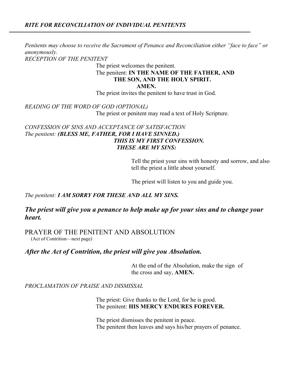*Penitents may choose to receive the Sacrament of Penance and Reconciliation either "face to face" or anonymously.*

*RECEPTION OF THE PENITENT*

The priest welcomes the penitent.

### The penitent: **IN THE NAME OF THE FATHER, AND THE SON, AND THE HOLY SPIRIT.**

 **AMEN.**

The priest invites the penitent to have trust in God.

*READING OF THE WORD OF GOD (OPTIONAL)*

The priest or penitent may read a text of Holy Scripture.

#### *CONFESSION OF SINS AND ACCEPTANCE OF SATISFACTION The penitent: (BLESS ME, FATHER, FOR I HAVE SINNED.) THIS IS MY FIRST CONFESSION. THESE ARE MY SINS:*

Tell the priest your sins with honesty and sorrow, and also tell the priest a little about yourself.

The priest will listen to you and guide you.

#### *The penitent: I AM SORRY FOR THESE AND ALL MY SINS.*

#### *The priest will give you a penance to help make up for your sins and to change your heart.*

PRAYER OF THE PENITENT AND ABSOLUTION

(Act of Contrition—next page)

*After the Act of Contrition, the priest will give you Absolution.*

At the end of the Absolution, make the sign of the cross and say, **AMEN.**

*PROCLAMATION OF PRAISE AND DISMISSAL*

The priest: Give thanks to the Lord, for he is good. The penitent: **HIS MERCY ENDURES FOREVER.**

The priest dismisses the penitent in peace. The penitent then leaves and says his/her prayers of penance.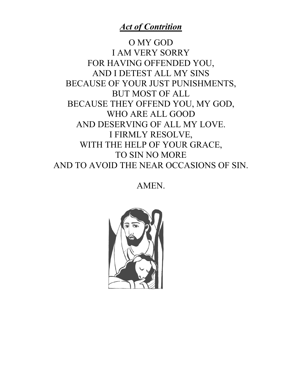## *Act of Contrition*

O MY GOD I AM VERY SORRY FOR HAVING OFFENDED YOU, AND I DETEST ALL MY SINS BECAUSE OF YOUR JUST PUNISHMENTS, BUT MOST OF ALL BECAUSE THEY OFFEND YOU, MY GOD, WHO ARE ALL GOOD AND DESERVING OF ALL MY LOVE. I FIRMLY RESOLVE, WITH THE HELP OF YOUR GRACE, TO SIN NO MORE AND TO AVOID THE NEAR OCCASIONS OF SIN.

AMEN.